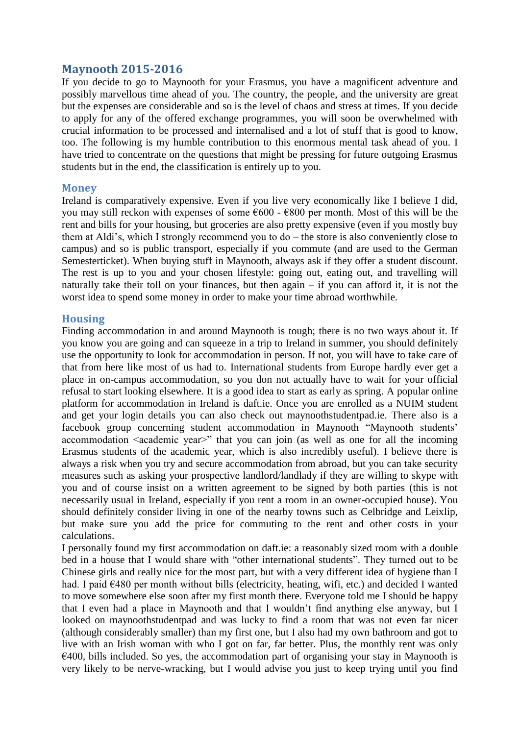## **Maynooth 2015-2016**

If you decide to go to Maynooth for your Erasmus, you have a magnificent adventure and possibly marvellous time ahead of you. The country, the people, and the university are great but the expenses are considerable and so is the level of chaos and stress at times. If you decide to apply for any of the offered exchange programmes, you will soon be overwhelmed with crucial information to be processed and internalised and a lot of stuff that is good to know, too. The following is my humble contribution to this enormous mental task ahead of you. I have tried to concentrate on the questions that might be pressing for future outgoing Erasmus students but in the end, the classification is entirely up to you.

## **Money**

Ireland is comparatively expensive. Even if you live very economically like I believe I did, you may still reckon with expenses of some  $600 - 6800$  per month. Most of this will be the rent and bills for your housing, but groceries are also pretty expensive (even if you mostly buy them at Aldi's, which I strongly recommend you to do – the store is also conveniently close to campus) and so is public transport, especially if you commute (and are used to the German Semesterticket). When buying stuff in Maynooth, always ask if they offer a student discount. The rest is up to you and your chosen lifestyle: going out, eating out, and travelling will naturally take their toll on your finances, but then again – if you can afford it, it is not the worst idea to spend some money in order to make your time abroad worthwhile.

## **Housing**

Finding accommodation in and around Maynooth is tough; there is no two ways about it. If you know you are going and can squeeze in a trip to Ireland in summer, you should definitely use the opportunity to look for accommodation in person. If not, you will have to take care of that from here like most of us had to. International students from Europe hardly ever get a place in on-campus accommodation, so you don not actually have to wait for your official refusal to start looking elsewhere. It is a good idea to start as early as spring. A popular online platform for accommodation in Ireland is daft.ie. Once you are enrolled as a NUIM student and get your login details you can also check out maynoothstudentpad.ie. There also is a facebook group concerning student accommodation in Maynooth "Maynooth students' accommodation  $\alpha$  academic year $>$ " that you can join (as well as one for all the incoming Erasmus students of the academic year, which is also incredibly useful). I believe there is always a risk when you try and secure accommodation from abroad, but you can take security measures such as asking your prospective landlord/landlady if they are willing to skype with you and of course insist on a written agreement to be signed by both parties (this is not necessarily usual in Ireland, especially if you rent a room in an owner-occupied house). You should definitely consider living in one of the nearby towns such as Celbridge and Leixlip, but make sure you add the price for commuting to the rent and other costs in your calculations.

I personally found my first accommodation on daft.ie: a reasonably sized room with a double bed in a house that I would share with "other international students". They turned out to be Chinese girls and really nice for the most part, but with a very different idea of hygiene than I had. I paid €480 per month without bills (electricity, heating, wifi, etc.) and decided I wanted to move somewhere else soon after my first month there. Everyone told me I should be happy that I even had a place in Maynooth and that I wouldn't find anything else anyway, but I looked on maynoothstudentpad and was lucky to find a room that was not even far nicer (although considerably smaller) than my first one, but I also had my own bathroom and got to live with an Irish woman with who I got on far, far better. Plus, the monthly rent was only  $\epsilon$ 400, bills included. So yes, the accommodation part of organising your stay in Maynooth is very likely to be nerve-wracking, but I would advise you just to keep trying until you find